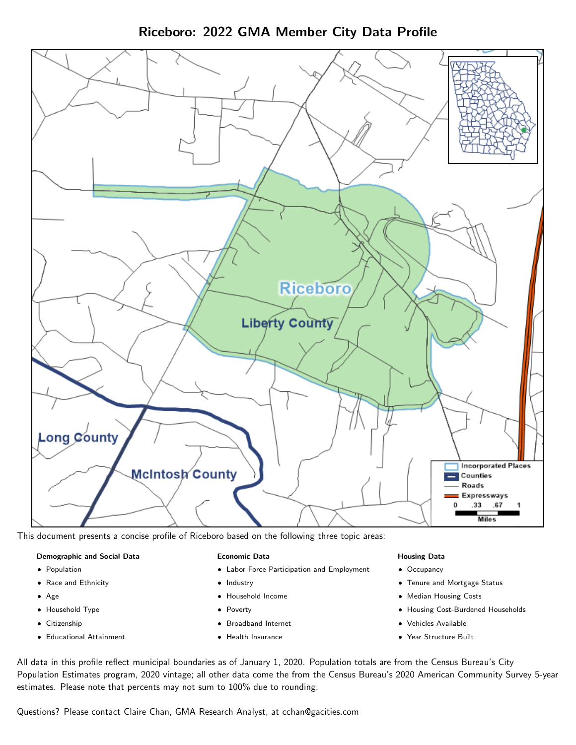



This document presents a concise profile of Riceboro based on the following three topic areas:

#### Demographic and Social Data

- **•** Population
- Race and Ethnicity
- Age
- Household Type
- **Citizenship**
- Educational Attainment

#### Economic Data

- Labor Force Participation and Employment
- Industry
- Household Income
- Poverty
- Broadband Internet
- Health Insurance

#### Housing Data

- Occupancy
- Tenure and Mortgage Status
- Median Housing Costs
- Housing Cost-Burdened Households
- Vehicles Available
- $\bullet$ Year Structure Built

All data in this profile reflect municipal boundaries as of January 1, 2020. Population totals are from the Census Bureau's City Population Estimates program, 2020 vintage; all other data come the from the Census Bureau's 2020 American Community Survey 5-year estimates. Please note that percents may not sum to 100% due to rounding.

Questions? Please contact Claire Chan, GMA Research Analyst, at [cchan@gacities.com.](mailto:cchan@gacities.com)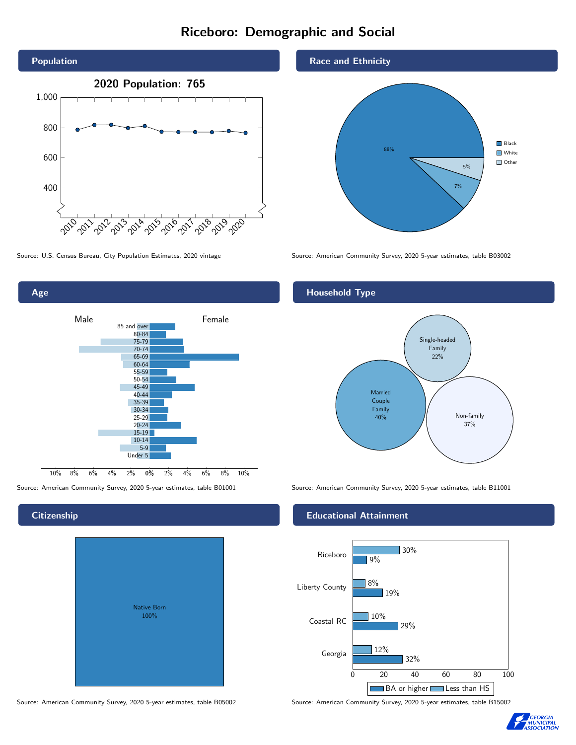# Riceboro: Demographic and Social



Age

**Citizenship** 









Source: U.S. Census Bureau, City Population Estimates, 2020 vintage Source: American Community Survey, 2020 5-year estimates, table B03002

#### Household Type



Source: American Community Survey, 2020 5-year estimates, table B01001 Source: American Community Survey, 2020 5-year estimates, table B11001

#### Educational Attainment



Source: American Community Survey, 2020 5-year estimates, table B05002 Source: American Community Survey, 2020 5-year estimates, table B15002

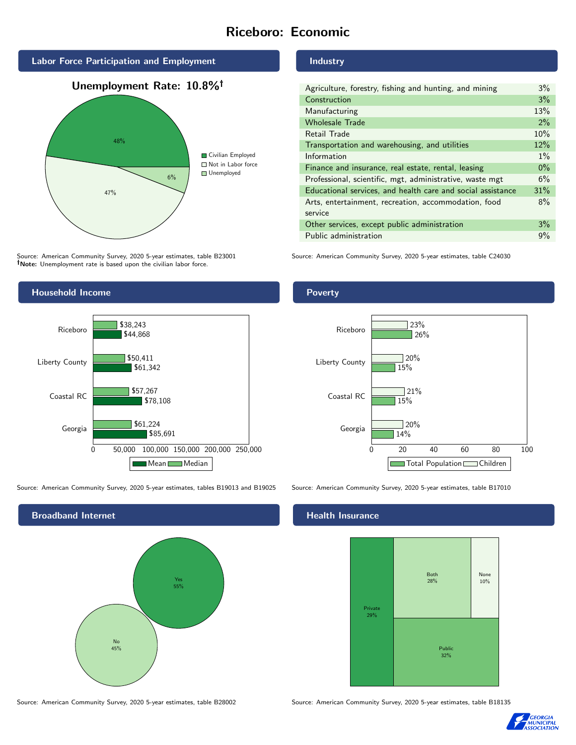# Riceboro: Economic



Source: American Community Survey, 2020 5-year estimates, table B23001 Note: Unemployment rate is based upon the civilian labor force.

# Household Income Riceboro \$44,868 \$50,411 \$38,243

0 50,000 100,000 150,000 200,000 250,000

Mean Median

\$85,691

\$78,108

\$61,342

\$57,267

\$61,224

Source: American Community Survey, 2020 5-year estimates, tables B19013 and B19025 Source: American Community Survey, 2020 5-year estimates, table B17010

Georgia

Coastal RC

Liberty County

Broadband Internet No 45% Yes 55%

Source: American Community Survey, 2020 5-year estimates, table B28002 Source: American Community Survey, 2020 5-year estimates, table B18135

Industry

| Agriculture, forestry, fishing and hunting, and mining      | $3\%$ |
|-------------------------------------------------------------|-------|
| Construction                                                | 3%    |
| Manufacturing                                               | 13%   |
| <b>Wholesale Trade</b>                                      | 2%    |
| Retail Trade                                                | 10%   |
| Transportation and warehousing, and utilities               | 12%   |
| Information                                                 | $1\%$ |
| Finance and insurance, real estate, rental, leasing         | $0\%$ |
| Professional, scientific, mgt, administrative, waste mgt    | 6%    |
| Educational services, and health care and social assistance | 31%   |
| Arts, entertainment, recreation, accommodation, food        | 8%    |
| service                                                     |       |
| Other services, except public administration                | 3%    |
| Public administration                                       | 9%    |

Source: American Community Survey, 2020 5-year estimates, table C24030





#### **Health Insurance**